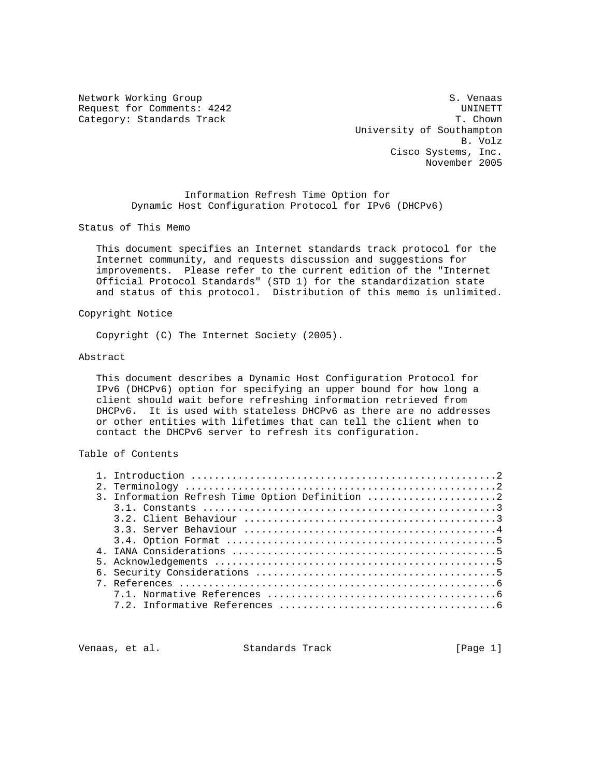Network Working Group S. Venaas Request for Comments: 4242<br>
Category: Standards Track<br>
T. Chown Category: Standards Track

 University of Southampton B. Volz Cisco Systems, Inc. November 2005

> Information Refresh Time Option for Dynamic Host Configuration Protocol for IPv6 (DHCPv6)

Status of This Memo

 This document specifies an Internet standards track protocol for the Internet community, and requests discussion and suggestions for improvements. Please refer to the current edition of the "Internet Official Protocol Standards" (STD 1) for the standardization state and status of this protocol. Distribution of this memo is unlimited.

Copyright Notice

Copyright (C) The Internet Society (2005).

#### Abstract

 This document describes a Dynamic Host Configuration Protocol for IPv6 (DHCPv6) option for specifying an upper bound for how long a client should wait before refreshing information retrieved from DHCPv6. It is used with stateless DHCPv6 as there are no addresses or other entities with lifetimes that can tell the client when to contact the DHCPv6 server to refresh its configuration.

# Table of Contents

| 3. Information Refresh Time Option Definition 2 |
|-------------------------------------------------|
|                                                 |
|                                                 |
|                                                 |
|                                                 |
|                                                 |
|                                                 |
|                                                 |
|                                                 |
|                                                 |
|                                                 |

Venaas, et al. Standards Track (Page 1)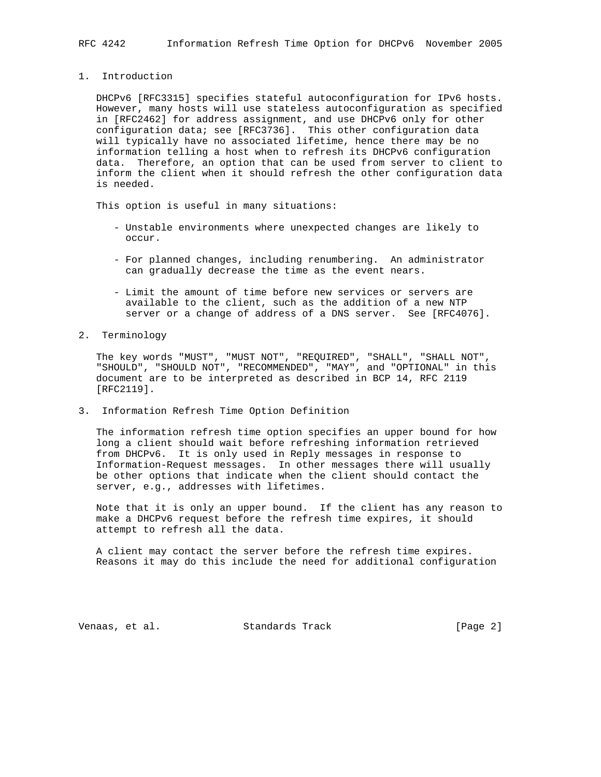### 1. Introduction

 DHCPv6 [RFC3315] specifies stateful autoconfiguration for IPv6 hosts. However, many hosts will use stateless autoconfiguration as specified in [RFC2462] for address assignment, and use DHCPv6 only for other configuration data; see [RFC3736]. This other configuration data will typically have no associated lifetime, hence there may be no information telling a host when to refresh its DHCPv6 configuration data. Therefore, an option that can be used from server to client to inform the client when it should refresh the other configuration data is needed.

This option is useful in many situations:

- Unstable environments where unexpected changes are likely to occur.
- For planned changes, including renumbering. An administrator can gradually decrease the time as the event nears.
- Limit the amount of time before new services or servers are available to the client, such as the addition of a new NTP server or a change of address of a DNS server. See [RFC4076].
- 2. Terminology

 The key words "MUST", "MUST NOT", "REQUIRED", "SHALL", "SHALL NOT", "SHOULD", "SHOULD NOT", "RECOMMENDED", "MAY", and "OPTIONAL" in this document are to be interpreted as described in BCP 14, RFC 2119 [RFC2119].

3. Information Refresh Time Option Definition

 The information refresh time option specifies an upper bound for how long a client should wait before refreshing information retrieved from DHCPv6. It is only used in Reply messages in response to Information-Request messages. In other messages there will usually be other options that indicate when the client should contact the server, e.g., addresses with lifetimes.

 Note that it is only an upper bound. If the client has any reason to make a DHCPv6 request before the refresh time expires, it should attempt to refresh all the data.

 A client may contact the server before the refresh time expires. Reasons it may do this include the need for additional configuration

Venaas, et al. Standards Track [Page 2]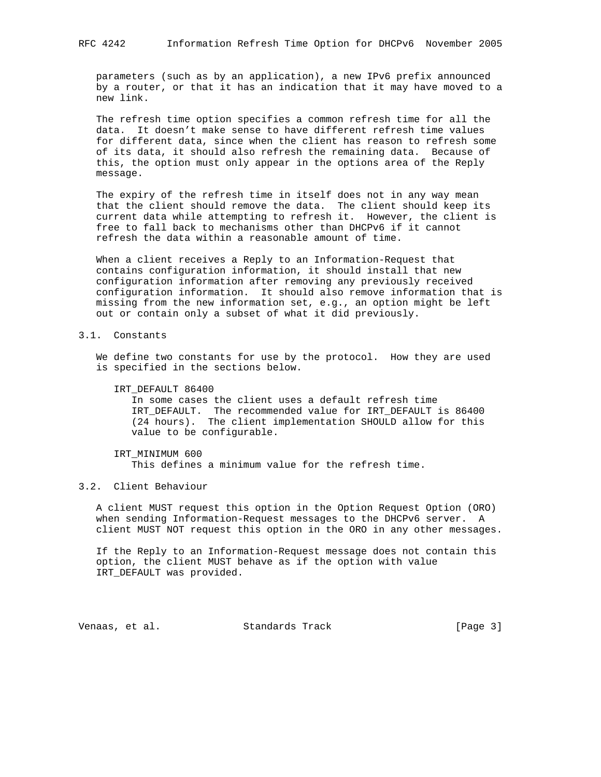parameters (such as by an application), a new IPv6 prefix announced by a router, or that it has an indication that it may have moved to a new link.

 The refresh time option specifies a common refresh time for all the data. It doesn't make sense to have different refresh time values for different data, since when the client has reason to refresh some of its data, it should also refresh the remaining data. Because of this, the option must only appear in the options area of the Reply message.

 The expiry of the refresh time in itself does not in any way mean that the client should remove the data. The client should keep its current data while attempting to refresh it. However, the client is free to fall back to mechanisms other than DHCPv6 if it cannot refresh the data within a reasonable amount of time.

 When a client receives a Reply to an Information-Request that contains configuration information, it should install that new configuration information after removing any previously received configuration information. It should also remove information that is missing from the new information set, e.g., an option might be left out or contain only a subset of what it did previously.

# 3.1. Constants

 We define two constants for use by the protocol. How they are used is specified in the sections below.

IRT\_DEFAULT 86400

 In some cases the client uses a default refresh time IRT\_DEFAULT. The recommended value for IRT\_DEFAULT is 86400 (24 hours). The client implementation SHOULD allow for this value to be configurable.

 IRT\_MINIMUM 600 This defines a minimum value for the refresh time.

### 3.2. Client Behaviour

 A client MUST request this option in the Option Request Option (ORO) when sending Information-Request messages to the DHCPv6 server. A client MUST NOT request this option in the ORO in any other messages.

 If the Reply to an Information-Request message does not contain this option, the client MUST behave as if the option with value IRT\_DEFAULT was provided.

Venaas, et al. Standards Track [Page 3]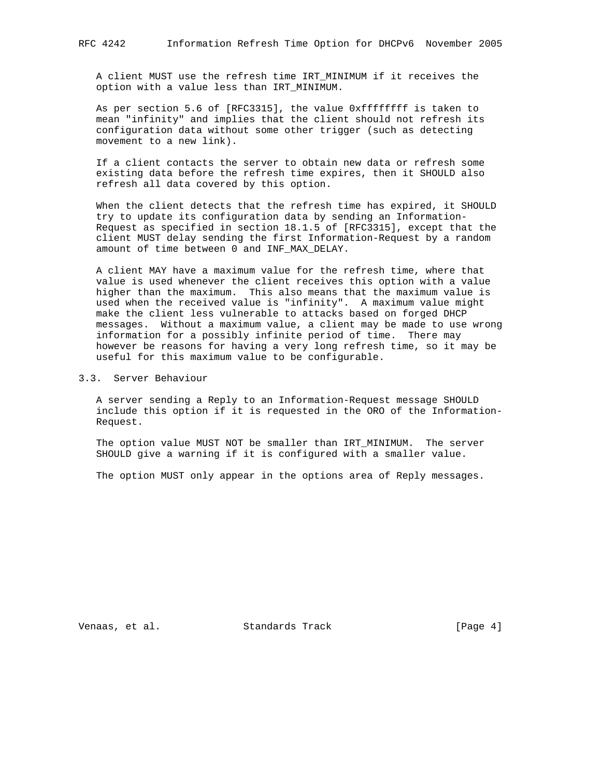A client MUST use the refresh time IRT\_MINIMUM if it receives the option with a value less than IRT\_MINIMUM.

 As per section 5.6 of [RFC3315], the value 0xffffffff is taken to mean "infinity" and implies that the client should not refresh its configuration data without some other trigger (such as detecting movement to a new link).

 If a client contacts the server to obtain new data or refresh some existing data before the refresh time expires, then it SHOULD also refresh all data covered by this option.

When the client detects that the refresh time has expired, it SHOULD try to update its configuration data by sending an Information- Request as specified in section 18.1.5 of [RFC3315], except that the client MUST delay sending the first Information-Request by a random amount of time between 0 and INF\_MAX\_DELAY.

 A client MAY have a maximum value for the refresh time, where that value is used whenever the client receives this option with a value higher than the maximum. This also means that the maximum value is used when the received value is "infinity". A maximum value might make the client less vulnerable to attacks based on forged DHCP messages. Without a maximum value, a client may be made to use wrong information for a possibly infinite period of time. There may however be reasons for having a very long refresh time, so it may be useful for this maximum value to be configurable.

3.3. Server Behaviour

 A server sending a Reply to an Information-Request message SHOULD include this option if it is requested in the ORO of the Information- Request.

 The option value MUST NOT be smaller than IRT\_MINIMUM. The server SHOULD give a warning if it is configured with a smaller value.

The option MUST only appear in the options area of Reply messages.

Venaas, et al. Standards Track [Page 4]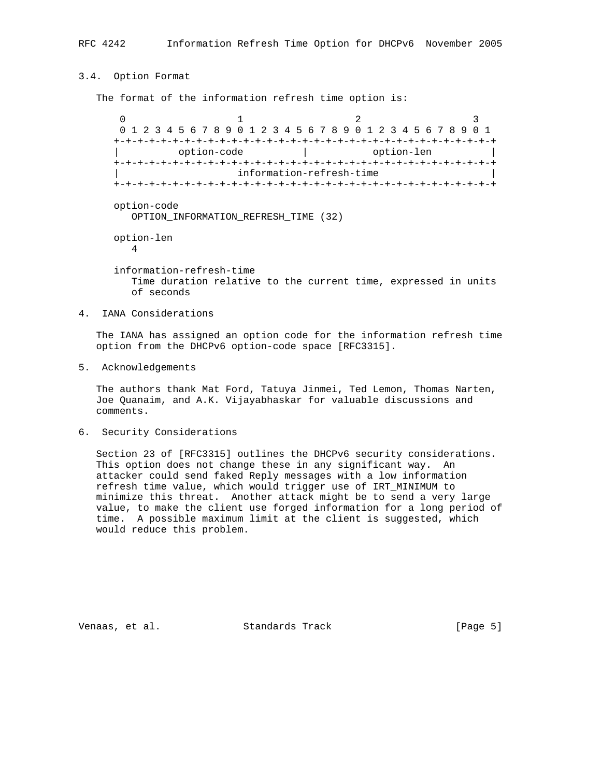## 3.4. Option Format

The format of the information refresh time option is:

 $0$  1 2 3 0 1 2 3 4 5 6 7 8 9 0 1 2 3 4 5 6 7 8 9 0 1 2 3 4 5 6 7 8 9 0 1 +-+-+-+-+-+-+-+-+-+-+-+-+-+-+-+-+-+-+-+-+-+-+-+-+-+-+-+-+-+-+-+-+ | option-code | option-len | +-+-+-+-+-+-+-+-+-+-+-+-+-+-+-+-+-+-+-+-+-+-+-+-+-+-+-+-+-+-+-+-+ information-refresh-time +-+-+-+-+-+-+-+-+-+-+-+-+-+-+-+-+-+-+-+-+-+-+-+-+-+-+-+-+-+-+-+-+ option-code OPTION\_INFORMATION\_REFRESH\_TIME (32) option-len 4 information-refresh-time Time duration relative to the current time, expressed in units of seconds

4. IANA Considerations

 The IANA has assigned an option code for the information refresh time option from the DHCPv6 option-code space [RFC3315].

5. Acknowledgements

 The authors thank Mat Ford, Tatuya Jinmei, Ted Lemon, Thomas Narten, Joe Quanaim, and A.K. Vijayabhaskar for valuable discussions and comments.

6. Security Considerations

 Section 23 of [RFC3315] outlines the DHCPv6 security considerations. This option does not change these in any significant way. An attacker could send faked Reply messages with a low information refresh time value, which would trigger use of IRT\_MINIMUM to minimize this threat. Another attack might be to send a very large value, to make the client use forged information for a long period of time. A possible maximum limit at the client is suggested, which would reduce this problem.

Venaas, et al. Standards Track (Page 5)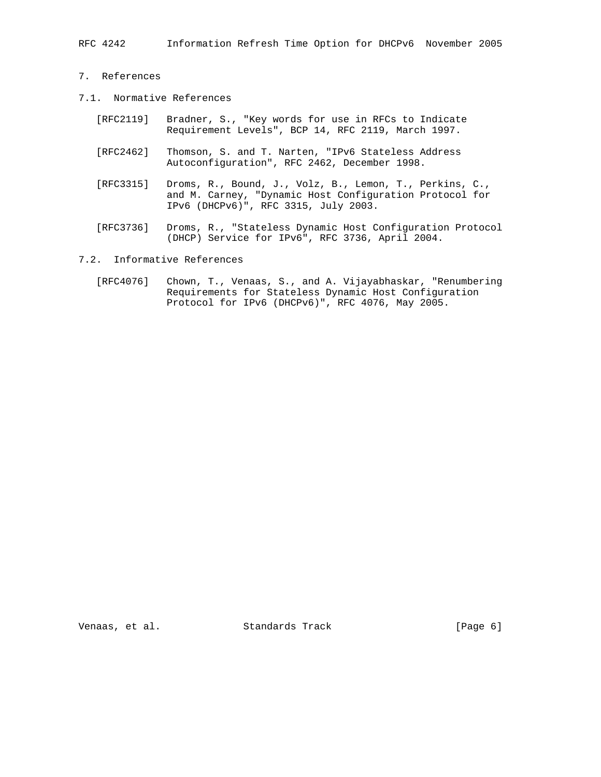RFC 4242 Information Refresh Time Option for DHCPv6 November 2005

- 7. References
- 7.1. Normative References
	- [RFC2119] Bradner, S., "Key words for use in RFCs to Indicate Requirement Levels", BCP 14, RFC 2119, March 1997.
	- [RFC2462] Thomson, S. and T. Narten, "IPv6 Stateless Address Autoconfiguration", RFC 2462, December 1998.
	- [RFC3315] Droms, R., Bound, J., Volz, B., Lemon, T., Perkins, C., and M. Carney, "Dynamic Host Configuration Protocol for IPv6 (DHCPv6)", RFC 3315, July 2003.
	- [RFC3736] Droms, R., "Stateless Dynamic Host Configuration Protocol (DHCP) Service for IPv6", RFC 3736, April 2004.
- 7.2. Informative References
	- [RFC4076] Chown, T., Venaas, S., and A. Vijayabhaskar, "Renumbering Requirements for Stateless Dynamic Host Configuration Protocol for IPv6 (DHCPv6)", RFC 4076, May 2005.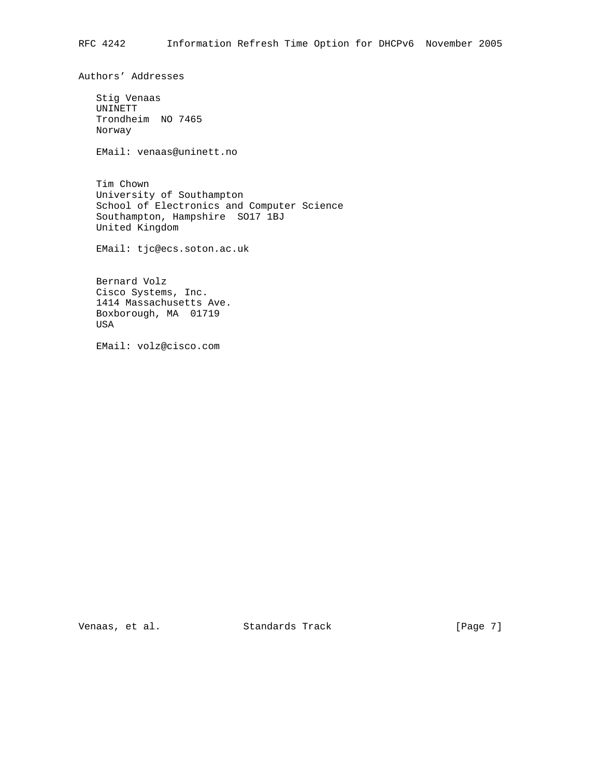Authors' Addresses

 Stig Venaas UNINETT Trondheim NO 7465 Norway

EMail: venaas@uninett.no

 Tim Chown University of Southampton School of Electronics and Computer Science Southampton, Hampshire SO17 1BJ United Kingdom

EMail: tjc@ecs.soton.ac.uk

 Bernard Volz Cisco Systems, Inc. 1414 Massachusetts Ave. Boxborough, MA 01719 USA

EMail: volz@cisco.com

Venaas, et al. Standards Track [Page 7]